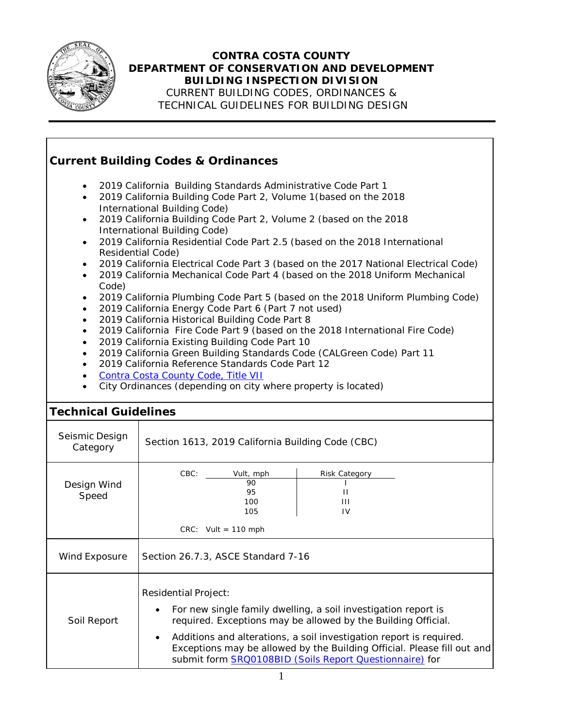

## **CONTRA COSTA COUNTY DEPARTMENT OF CONSERVATION AND DEVELOPMENT BUILDING INSPECTION DIVISION**

CURRENT BUILDING CODES, ORDINANCES & TECHNICAL GUIDELINES FOR BUILDING DESIGN

## **Current Building Codes & Ordinances** • 2019 California Building Standards Administrative Code Part 1 • 2019 California Building Code Part 2, Volume 1(based on the 2018 International Building Code) • 2019 California Building Code Part 2, Volume 2 (based on the 2018 International Building Code) • 2019 California Residential Code Part 2.5 (based on the 2018 International Residential Code) • 2019 California Electrical Code Part 3 (based on the 2017 National Electrical Code) • 2019 California Mechanical Code Part 4 (based on the 2018 Uniform Mechanical Code) • 2019 California Plumbing Code Part 5 (based on the 2018 Uniform Plumbing Code) • 2019 California Energy Code Part 6 (Part 7 not used) • 2019 California Historical Building Code Part 8 • 2019 California Fire Code Part 9 (based on the 2018 International Fire Code) • 2019 California Existing Building Code Part 10 • 2019 California Green Building Standards Code (CALGreen Code) Part 11 • 2019 California Reference Standards Code Part 12 • Contra Costa [County](https://www.municode.com/library/ca/contra_costa_county/codes/ordinance_code?nodeId=TIT7BURE) Code, Title VII • City Ordinances (depending on city where property is located) **Technical Guidelines** Seismic Design **Category** Section 1613, 2019 California Building Code (CBC) Design Wind Speed CBC: Vult, mph | Risk Category 90 I 95 II 100 III 105 IV  $CRC:$  Vult = 110 mph Wind Exposure Section 26.7.3, ASCE Standard  $7-16$ Soil Report Residential Project: • For new single family dwelling, a soil investigation report is required. Exceptions may be allowed by the Building Official. • Additions and alterations, a soil investigation report is required. Exceptions may be allowed by the Building Official. Please fill out and submit form **SRQ0108BID** (Soils Report [Questionnaire\)](https://www.contracosta.ca.gov/DocumentCenter/View/1730/Soil-Report-Questionnaire) for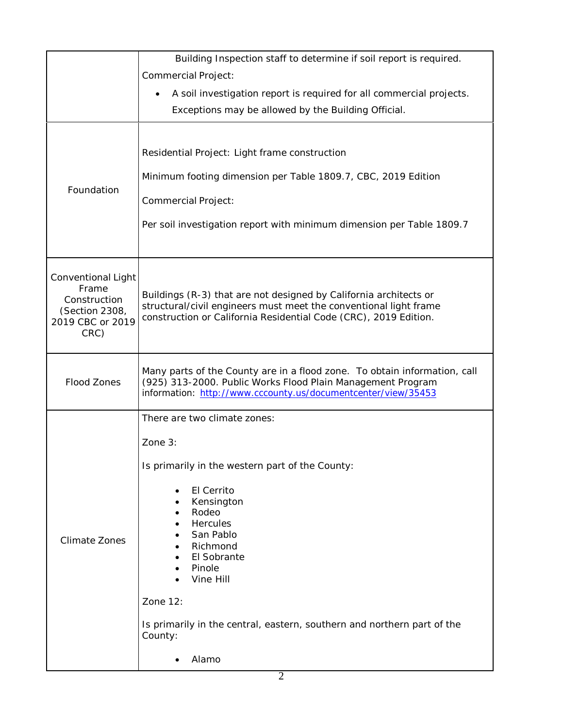|                                                    | Building Inspection staff to determine if soil report is required.                                                                       |
|----------------------------------------------------|------------------------------------------------------------------------------------------------------------------------------------------|
|                                                    | <b>Commercial Project:</b>                                                                                                               |
|                                                    | A soil investigation report is required for all commercial projects.<br>$\bullet$                                                        |
|                                                    | Exceptions may be allowed by the Building Official.                                                                                      |
|                                                    |                                                                                                                                          |
| Foundation                                         | Residential Project: Light frame construction                                                                                            |
|                                                    |                                                                                                                                          |
|                                                    | Minimum footing dimension per Table 1809.7, CBC, 2019 Edition                                                                            |
|                                                    | <b>Commercial Project:</b>                                                                                                               |
|                                                    | Per soil investigation report with minimum dimension per Table 1809.7                                                                    |
|                                                    |                                                                                                                                          |
|                                                    |                                                                                                                                          |
| Conventional Light                                 |                                                                                                                                          |
| Frame                                              | Buildings (R-3) that are not designed by California architects or                                                                        |
| Construction<br>(Section 2308,<br>2019 CBC or 2019 | structural/civil engineers must meet the conventional light frame                                                                        |
|                                                    | construction or California Residential Code (CRC), 2019 Edition.                                                                         |
| CRC)                                               |                                                                                                                                          |
| <b>Flood Zones</b>                                 |                                                                                                                                          |
|                                                    | Many parts of the County are in a flood zone. To obtain information, call<br>(925) 313-2000. Public Works Flood Plain Management Program |
|                                                    | information: http://www.cccounty.us/documentcenter/view/35453                                                                            |
|                                                    | There are two climate zones:                                                                                                             |
|                                                    | Zone $3:$                                                                                                                                |
| <b>Climate Zones</b>                               |                                                                                                                                          |
|                                                    | Is primarily in the western part of the County:                                                                                          |
|                                                    | El Cerrito                                                                                                                               |
|                                                    | Kensington<br>Rodeo                                                                                                                      |
|                                                    | Hercules                                                                                                                                 |
|                                                    | San Pablo                                                                                                                                |
|                                                    | Richmond<br>El Sobrante                                                                                                                  |
|                                                    | Pinole                                                                                                                                   |
|                                                    | Vine Hill                                                                                                                                |
|                                                    | Zone 12:                                                                                                                                 |
|                                                    | Is primarily in the central, eastern, southern and northern part of the                                                                  |
|                                                    | County:                                                                                                                                  |
|                                                    | Alamo                                                                                                                                    |